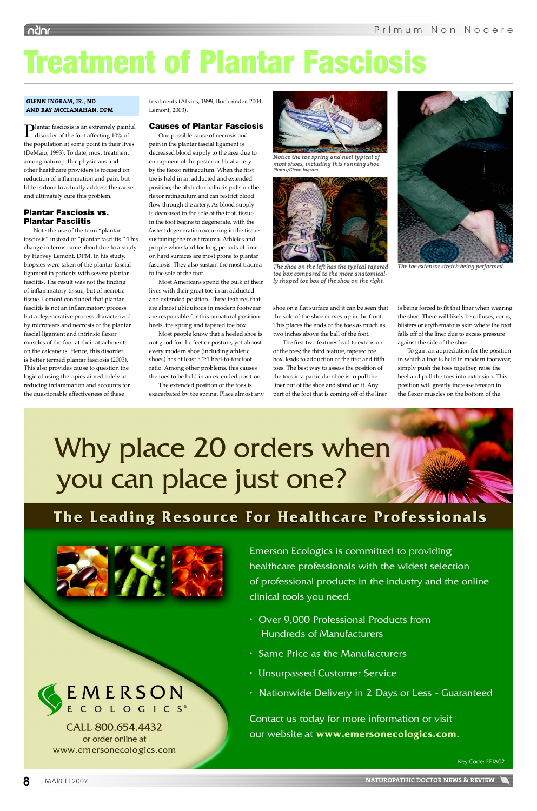Plantar fasciosis is an extremely painful disorder of the foot affecting 10% of the population at some point in their lives (DeMaio, 1993). To date, most treatment among naturopathic physicians and other healthcare providers is focused on reduction of inflammation and pain, but little is done to actually address the cause and ultimately cure this problem.

## Plantar Fasciosis vs. Plantar Fasciitis

Note the use of the term "plantar fasciosis" instead of "plantar fasciitis." This change in terms came about due to a study by Harvey Lemont, DPM. In his study, biopsies were taken of the plantar fascial ligament in patients with severe plantar fasciitis. The result was not the finding of inflammatory tissue, but of necrotic tissue. Lemont concluded that plantar fasciitis is not an inflammatory process but a degenerative process characterized by microtears and necrosis of the plantar fascial ligament and intrinsic flexor muscles of the foot at their attachments on the calcaneus. Hence, this disorder is better termed plantar fasciosis (2003). This also provides cause to question the logic of using therapies aimed solely at reducing inflammation and accounts for the questionable effectiveness of these

treatments (Atkins, 1999; Buchbinder, 2004; Lemont, 2003).

### Causes of Plantar Fasciosis

shoe on a flat surface and it can be seen that the sole of the shoe curves up in the front. This places the ends of the toes as much as two inches above the ball of the foot.

The first two features lead to extension of the toes; the third feature, tapered toe box, leads to adduction of the first and fifth toes. The best way to assess the position of the toes in a particular shoe is to pull the liner out of the shoe and stand on it. Any part of the foot that is coming off of the liner



The toe extensor stretch being performed.

is being forced to fit that liner when wearing the shoe. There will likely be calluses, corns, blisters or erythematous skin where the foot falls off of the liner due to excess pressure against the side of the shoe.

To gain an appreciation for the position in which a foot is held in modern footwear, simply push the toes together, raise the heel and pull the toes into extension. This position will greatly increase tension in the flexor muscles on the bottom of the

## Why place 20 orders when you can place just one?

## The Leading Resource For Healthcare Professionals



Emerson Ecologics is committed to providing healthcare professionals with the widest selection of professional products in the industry and the online

# EMERSON<sub>E</sub>

CALL 800.654.4432 or order online at www.emersonecologics.com clinical tools you need.

- Over 9,000 Professional Products from **Hundreds of Manufacturers**
- Same Price as the Manufacturers
- Unsurpassed Customer Service
- Nationwide Delivery in 2 Days or Less Guaranteed

Contact us today for more information or visit our website at www.emersonecologics.com.

Key Code: EEIA02



**8** MARCH 2007 MARCH 2007

One possible cause of necrosis and pain in the plantar fascial ligament is decreased blood supply to the area due to entrapment of the posterior tibial artery by the flexor retinaculum. When the first toe is held in an adducted and extended position, the abductor hallucis pulls on the flexor retinaculum and can restrict blood flow through the artery. As blood supply is decreased to the sole of the foot, tissue in the foot begins to degenerate, with the fastest degeneration occurring in the tissue sustaining the most trauma. Athletes and people who stand for long periods of time on hard surfaces are most prone to plantar fasciosis. They also sustain the most trauma to the sole of the foot.

Most Americans spend the bulk of their lives with their great toe in an adducted and extended position. Three features that are almost ubiquitous in modern footwear are responsible for this unnatural position: heels, toe spring and tapered toe box.

Most people know that a heeled shoe is not good for the feet or posture, yet almost every modern shoe (including athletic shoes) has at least a 2:1 heel-to-forefoot ratio. Among other problems, this causes the toes to be held in an extended position.

The extended position of the toes is exacerbated by toe spring. Place almost any



*Notice the toe spring and heel typical of most shoes, including this running shoe.* Photos/Glenn Ingrai



The shoe on the left has the typical tapered toe box compared to the more anatomical*ly shaped toe box of the shoe on the right.* 

## Treatment of Plantar Fasciosis

#### **GLENN INGRAM, JR., ND AND RAY MCCLANAHAN, DPM**